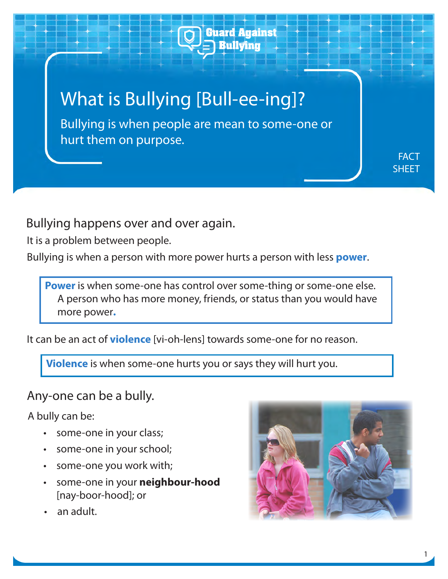

Bullying happens over and over again.

It is a problem between people.

Bullying is when a person with more power hurts a person with less **power**.

**Power** is when some-one has control over some-thing or some-one else. A person who has more money, friends, or status than you would have more power**.**

It can be an act of **violence** [vi-oh-lens] towards some-one for no reason.

**Violence** is when some-one hurts you or says they will hurt you.

Any-one can be a bully.

A bully can be:

- some-one in your class;
- some-one in your school; •
- some-one you work with; •
- some-one in your **neighbour-hood**  [nay-boor-hood]; or
- an adult. •

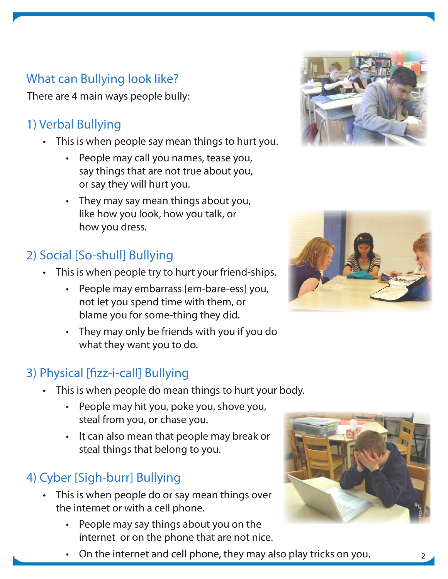## What can Bullying look like?

There are 4 main ways people bully:

# 1) Verbal Bullying

- This is when people say mean things to hurt you.
	- People may call you names, tease you, say things that are not true about you, or say they will hurt you.
	- They may say mean things about you, like how you look, how you talk, or how you dress.

# 2) Social [So-shull] Bullying

- This is when people try to hurt your friend-ships.
	- People may embarrass [em-bare-ess] you, not let you spend time with them, or blame you for some-thing they did.
	- They may only be friends with you if you do what they want you to do.

# 3) Physical [fizz-i-call] Bullying

- This is when people do mean things to hurt your body.
	- People may hit you, poke you, shove you, steal from you, or chase you.
	- It can also mean that people may break or steal things that belong to you.

# 4) Cyber [Sigh-burr] Bullying

- This is when people do or say mean things over the internet or with a cell phone.
	- People may say things about you on the internet or on the phone that are not nice.







• On the internet and cell phone, they may also play tricks on you.  $\qquad \qquad$  2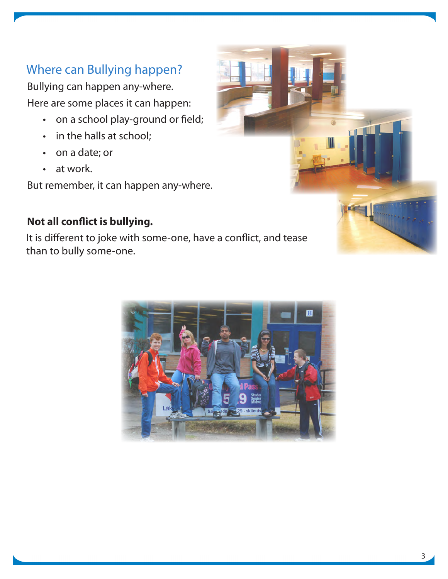## Where can Bullying happen?

Bullying can happen any-where. Here are some places it can happen:

- on a school play-ground or field;
- in the halls at school;
- on a date; or
- at work.

But remember, it can happen any-where.

#### **Not all conflict is bullying.**

It is different to joke with some-one, have a conflict, and tease than to bully some-one.